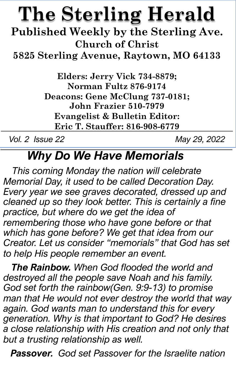# **The Sterling Herald**

**Published Weekly by the Sterling Ave. Church of Christ**

**5825 Sterling Avenue, Raytown, MO 64133**

**Elders: Jerry Vick 734-8879; Norman Fultz 876-9174 Deacons: Gene McClung 737-0181; John Frazier 510-7979 Evangelist & Bulletin Editor: Eric T. Stauffer: 816-908-6779**

*Vol. 2 Issue 22 May 29, 2022*

### *Why Do We Have Memorials*

*This coming Monday the nation will celebrate Memorial Day, it used to be called Decoration Day. Every year we see graves decorated, dressed up and cleaned up so they look better. This is certainly a fine practice, but where do we get the idea of remembering those who have gone before or that which has gone before? We get that idea from our Creator. Let us consider "memorials" that God has set to help His people remember an event.*

*The Rainbow. When God flooded the world and destroyed all the people save Noah and his family. God set forth the rainbow(Gen. 9:9-13) to promise man that He would not ever destroy the world that way again. God wants man to understand this for every generation. Why is that important to God? He desires a close relationship with His creation and not only that but a trusting relationship as well.*

*Passover. God set Passover for the Israelite nation*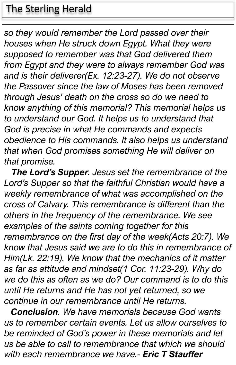#### The Sterling Herald

*so they would remember the Lord passed over their houses when He struck down Egypt. What they were supposed to remember was that God delivered them from Egypt and they were to always remember God was and is their deliverer(Ex. 12:23-27). We do not observe the Passover since the law of Moses has been removed through Jesus' death on the cross so do we need to know anything of this memorial? This memorial helps us to understand our God. It helps us to understand that God is precise in what He commands and expects obedience to His commands. It also helps us understand that when God promises something He will deliver on that promise.*

*The Lord's Supper. Jesus set the remembrance of the Lord's Supper so that the faithful Christian would have a weekly remembrance of what was accomplished on the cross of Calvary. This remembrance is different than the others in the frequency of the remembrance. We see examples of the saints coming together for this remembrance on the first day of the week(Acts 20:7). We know that Jesus said we are to do this in remembrance of Him(Lk. 22:19). We know that the mechanics of it matter as far as attitude and mindset(1 Cor. 11:23-29). Why do we do this as often as we do? Our command is to do this until He returns and He has not yet returned, so we continue in our remembrance until He returns.*

*Conclusion. We have memorials because God wants us to remember certain events. Let us allow ourselves to be reminded of God's power in these memorials and let us be able to call to remembrance that which we should with each remembrance we have.- Eric T Stauffer*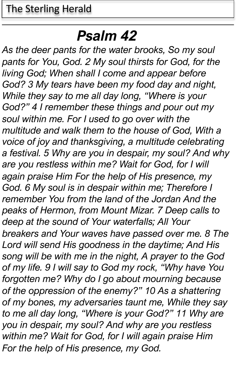## *Psalm 42*

*As the deer pants for the water brooks, So my soul pants for You, God. 2 My soul thirsts for God, for the living God; When shall I come and appear before God? 3 My tears have been my food day and night, While they say to me all day long, "Where is your God?" 4 I remember these things and pour out my soul within me. For I used to go over with the multitude and walk them to the house of God, With a voice of joy and thanksgiving, a multitude celebrating a festival. 5 Why are you in despair, my soul? And why are you restless within me? Wait for God, for I will again praise Him For the help of His presence, my God. 6 My soul is in despair within me; Therefore I remember You from the land of the Jordan And the peaks of Hermon, from Mount Mizar. 7 Deep calls to deep at the sound of Your waterfalls; All Your breakers and Your waves have passed over me. 8 The Lord will send His goodness in the daytime; And His song will be with me in the night, A prayer to the God of my life. 9 I will say to God my rock, "Why have You forgotten me? Why do I go about mourning because of the oppression of the enemy?" 10 As a shattering of my bones, my adversaries taunt me, While they say to me all day long, "Where is your God?" 11 Why are you in despair, my soul? And why are you restless within me? Wait for God, for I will again praise Him For the help of His presence, my God.*